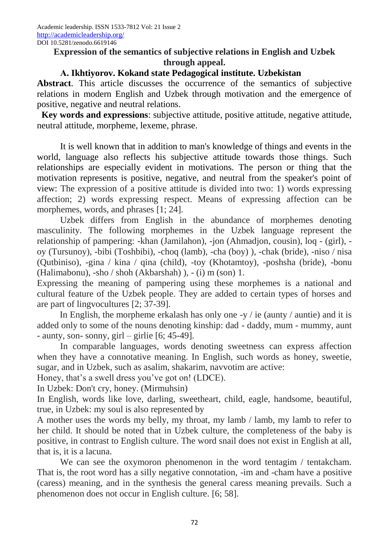## **Expression of the semantics of subjective relations in English and Uzbek through appeal.**

## **А. Ikhtiyorov. Kokand state Pedagogical institute. Uzbekistan**

**Abstract**. This article discusses the occurrence of the semantics of subjective relations in modern English and Uzbek through motivation and the emergence of positive, negative and neutral relations.

**Key words and expressions**: subjective attitude, positive attitude, negative attitude, neutral attitude, morpheme, lexeme, phrase.

It is well known that in addition to man's knowledge of things and events in the world, language also reflects his subjective attitude towards those things. Such relationships are especially evident in motivations. The person or thing that the motivation represents is positive, negative, and neutral from the speaker's point of view: The expression of a positive attitude is divided into two: 1) words expressing affection; 2) words expressing respect. Means of expressing affection can be morphemes, words, and phrases [1; 24].

Uzbek differs from English in the abundance of morphemes denoting masculinity. The following morphemes in the Uzbek language represent the relationship of pampering: -khan (Jamilahon), -jon (Ahmadjon, cousin), loq - (girl), oy (Tursunoy), -bibi (Toshbibi), -choq (lamb), -cha (boy) ), -chak (bride), -niso / nisa (Qutbiniso), -gina / kina / qina (child), -toy (Khotamtoy), -poshsha (bride), -bonu (Halimabonu), -sho / shoh (Akbarshah) ), - (i) m (son) 1.

Expressing the meaning of pampering using these morphemes is a national and cultural feature of the Uzbek people. They are added to certain types of horses and are part of lingvocultures [2; 37-39].

In English, the morpheme erkalash has only one -y  $\ell$  ie (aunty  $\ell$  auntie) and it is added only to some of the nouns denoting kinship: dad - daddy, mum - mummy, aunt - aunty, son- sonny, girl – girlie  $[6; 45-49]$ .

In comparable languages, words denoting sweetness can express affection when they have a connotative meaning. In English, such words as honey, sweetie, sugar, and in Uzbek, such as asalim, shakarim, navvotim are active:

Honey, that's a swell dress you've got on! (LDCE).

In Uzbek: Don't cry, honey. (Mirmuhsin)

In English, words like love, darling, sweetheart, child, eagle, handsome, beautiful, true, in Uzbek: my soul is also represented by

A mother uses the words my belly, my throat, my lamb / lamb, my lamb to refer to her child. It should be noted that in Uzbek culture, the completeness of the baby is positive, in contrast to English culture. The word snail does not exist in English at all, that is, it is a lacuna.

We can see the oxymoron phenomenon in the word tentagim / tentakcham. That is, the root word has a silly negative connotation, -im and -cham have a positive (caress) meaning, and in the synthesis the general caress meaning prevails. Such a phenomenon does not occur in English culture. [6; 58].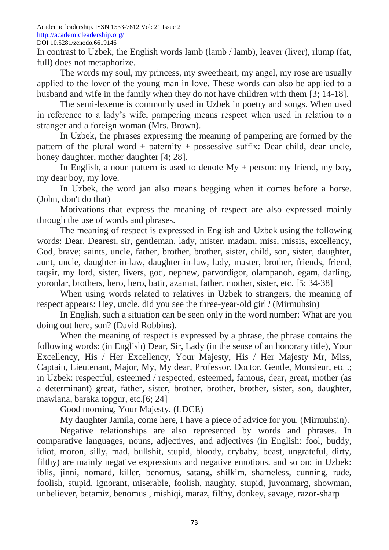Academic leadership. ISSN 1533-7812 Vol: 21 Issue 2 <http://academicleadership.org/> DOI 10.5281/zenodo.6619146

In contrast to Uzbek, the English words lamb (lamb / lamb), leaver (liver), rlump (fat, full) does not metaphorize.

The words my soul, my princess, my sweetheart, my angel, my rose are usually applied to the lover of the young man in love. These words can also be applied to a husband and wife in the family when they do not have children with them [3; 14-18].

The semi-lexeme is commonly used in Uzbek in poetry and songs. When used in reference to a lady's wife, pampering means respect when used in relation to a stranger and a foreign woman (Mrs. Brown).

In Uzbek, the phrases expressing the meaning of pampering are formed by the pattern of the plural word + paternity + possessive suffix: Dear child, dear uncle, honey daughter, mother daughter [4; 28].

In English, a noun pattern is used to denote  $My + person$ : my friend, my boy, my dear boy, my love.

In Uzbek, the word jan also means begging when it comes before a horse. (John, don't do that)

Motivations that express the meaning of respect are also expressed mainly through the use of words and phrases.

The meaning of respect is expressed in English and Uzbek using the following words: Dear, Dearest, sir, gentleman, lady, mister, madam, miss, missis, excellency, God, brave; saints, uncle, father, brother, brother, sister, child, son, sister, daughter, aunt, uncle, daughter-in-law, daughter-in-law, lady, master, brother, friends, friend, taqsir, my lord, sister, livers, god, nephew, parvordigor, olampanoh, egam, darling, yoronlar, brothers, hero, hero, batir, azamat, father, mother, sister, etc. [5; 34-38]

When using words related to relatives in Uzbek to strangers, the meaning of respect appears: Hey, uncle, did you see the three-year-old girl? (Mirmuhsin)

In English, such a situation can be seen only in the word number: What are you doing out here, son? (David Robbins).

When the meaning of respect is expressed by a phrase, the phrase contains the following words: (in English) Dear, Sir, Lady (in the sense of an honorary title), Your Excellency, His / Her Excellency, Your Majesty, His / Her Majesty Mr, Miss, Captain, Lieutenant, Major, My, My dear, Professor, Doctor, Gentle, Monsieur, etc .; in Uzbek: respectful, esteemed / respected, esteemed, famous, dear, great, mother (as a determinant) great, father, sister, brother, brother, brother, sister, son, daughter, mawlana, baraka topgur, etc.[6; 24]

Good morning, Your Majesty. (LDCE)

My daughter Jamila, come here, I have a piece of advice for you. (Mirmuhsin).

Negative relationships are also represented by words and phrases. In comparative languages, nouns, adjectives, and adjectives (in English: fool, buddy, idiot, moron, silly, mad, bullshit, stupid, bloody, crybaby, beast, ungrateful, dirty, filthy) are mainly negative expressions and negative emotions. and so on: in Uzbek: iblis, jinni, nomard, killer, benomus, satang, shilkim, shameless, cunning, rude, foolish, stupid, ignorant, miserable, foolish, naughty, stupid, juvonmarg, showman, unbeliever, betamiz, benomus , mishiqi, maraz, filthy, donkey, savage, razor-sharp